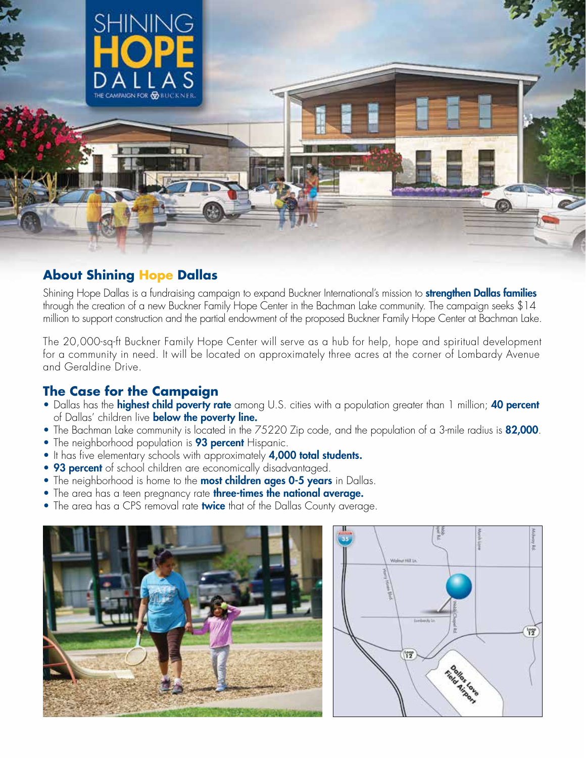

## **About Shining Hope Dallas**

Shining Hope Dallas is a fundraising campaign to expand Buckner International's mission to **strengthen Dallas families** through the creation of a new Buckner Family Hope Center in the Bachman Lake community. The campaign seeks \$14 million to support construction and the partial endowment of the proposed Buckner Family Hope Center at Bachman Lake.

The 20,000-sq-ft Buckner Family Hope Center will serve as a hub for help, hope and spiritual development for a community in need. It will be located on approximately three acres at the corner of Lombardy Avenue and Geraldine Drive.

# **The Case for the Campaign**

- Dallas has the **highest child poverty rate** among U.S. cities with a population greater than 1 million; **40 percent** of Dallas' children live **below the poverty line.**
- The Bachman Lake community is located in the 75220 Zip code, and the population of a 3-mile radius is 82,000.
- The neighborhood population is 93 percent Hispanic.
- It has five elementary schools with approximately 4,000 total students.
- 93 percent of school children are economically disadvantaged.
- The neighborhood is home to the **most children ages 0-5 years** in Dallas.
- The area has a teen pregnancy rate three-times the national average.
- The area has a CPS removal rate twice that of the Dallas County average.